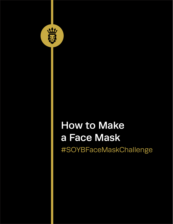

## How to Make a Face Mask #SOYBFaceMaskChallenge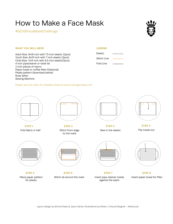## $u \cdot t \alpha$  Make  $\alpha$   $\Gamma$ aga $\Lambda$ Maak How to Make a Face Mask

#SOYBFaceMaskChallenge



## **WHAT YOU WILL NEED**

Fuper tower of concernier (optionar)<br>Pleats pattern (download below) tuler seen<br>seving Moobing 4 inch pipecieaner or tv<br>2 inch pieces of velcro Ruler &Pen *Video Link in Bio* 4 inch pipecleaner or twist tie<br>2 inch pieces of velcro **The initiative has been brought to you by King Bay in partnership with Ismaili Civic Civic Civic Civic Civic Civic Civic Civic Civic Civic Civic Civic Civic Civic Civic Civic Civic Civic Civic Civic Civic Civic Civic Civi** Adult Size: 9x16 inch with 7.5 inch elastic (2pcs) Youth Size: 8x15 inch with *he lifer* blastic (2pcs) Child Size: 7x14 inch with 6.5 inch elastic(2pcs) Ruler &Pen Child Size: 7x14 inch with 6.5 inch elastic(2pcs) Paper towel or coffee filter (Optional)

## **LEGEND**



Please see the video for detailed steps at www.mykingandbay.com



Fold fabric in **STEP 1** 

Fold fabric in half



**STEP 5** 

Place paper pattern for pleats.



**STEP 2** Stitch from edge to the mark



STEP 6 Stitch all around the mark



**STEP 3** Sew in the elastic



 $SIEPI$ Insert pipe cleaner inside, against the seam **STEP 7** 



**STEP 4** Flip inside out



Insert paper Insert paper **STEP 8** Insert paper towel for filter